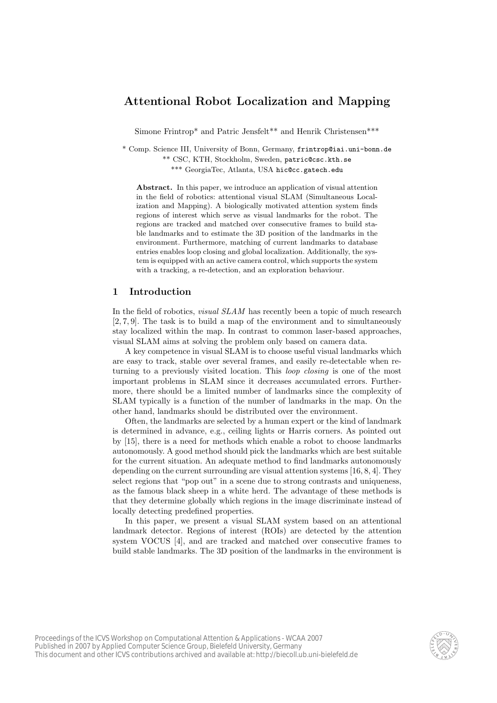# Attentional Robot Localization and Mapping

Simone Frintrop\* and Patric Jensfelt\*\* and Henrik Christensen\*\*\*

\* Comp. Science III, University of Bonn, Germany, frintrop@iai.uni-bonn.de \*\* CSC, KTH, Stockholm, Sweden, patric@csc.kth.se \*\*\* GeorgiaTec, Atlanta, USA hic@cc.gatech.edu

Abstract. In this paper, we introduce an application of visual attention in the field of robotics: attentional visual SLAM (Simultaneous Localization and Mapping). A biologically motivated attention system finds regions of interest which serve as visual landmarks for the robot. The regions are tracked and matched over consecutive frames to build stable landmarks and to estimate the 3D position of the landmarks in the environment. Furthermore, matching of current landmarks to database entries enables loop closing and global localization. Additionally, the system is equipped with an active camera control, which supports the system with a tracking, a re-detection, and an exploration behaviour.

### 1 Introduction

In the field of robotics, *visual SLAM* has recently been a topic of much research [2, 7, 9]. The task is to build a map of the environment and to simultaneously stay localized within the map. In contrast to common laser-based approaches, visual SLAM aims at solving the problem only based on camera data.

A key competence in visual SLAM is to choose useful visual landmarks which are easy to track, stable over several frames, and easily re-detectable when returning to a previously visited location. This *loop closing* is one of the most important problems in SLAM since it decreases accumulated errors. Furthermore, there should be a limited number of landmarks since the complexity of SLAM typically is a function of the number of landmarks in the map. On the other hand, landmarks should be distributed over the environment.

Often, the landmarks are selected by a human expert or the kind of landmark is determined in advance, e.g., ceiling lights or Harris corners. As pointed out by [15], there is a need for methods which enable a robot to choose landmarks autonomously. A good method should pick the landmarks which are best suitable for the current situation. An adequate method to find landmarks autonomously depending on the current surrounding are visual attention systems [16, 8, 4]. They select regions that "pop out" in a scene due to strong contrasts and uniqueness, as the famous black sheep in a white herd. The advantage of these methods is that they determine globally which regions in the image discriminate instead of locally detecting predefined properties.

In this paper, we present a visual SLAM system based on an attentional landmark detector. Regions of interest (ROIs) are detected by the attention system VOCUS [4], and are tracked and matched over consecutive frames to build stable landmarks. The 3D position of the landmarks in the environment is

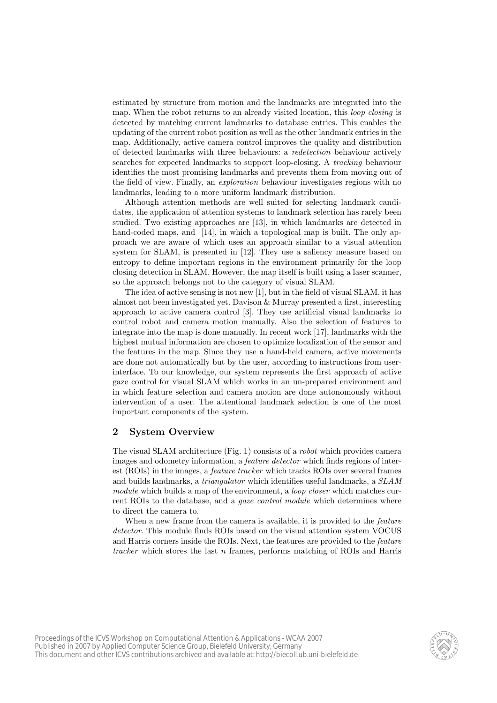estimated by structure from motion and the landmarks are integrated into the map. When the robot returns to an already visited location, this *loop closing* is detected by matching current landmarks to database entries. This enables the updating of the current robot position as well as the other landmark entries in the map. Additionally, active camera control improves the quality and distribution of detected landmarks with three behaviours: a redetection behaviour actively searches for expected landmarks to support loop-closing. A tracking behaviour identifies the most promising landmarks and prevents them from moving out of the field of view. Finally, an exploration behaviour investigates regions with no landmarks, leading to a more uniform landmark distribution.

Although attention methods are well suited for selecting landmark candidates, the application of attention systems to landmark selection has rarely been studied. Two existing approaches are [13], in which landmarks are detected in hand-coded maps, and [14], in which a topological map is built. The only approach we are aware of which uses an approach similar to a visual attention system for SLAM, is presented in [12]. They use a saliency measure based on entropy to define important regions in the environment primarily for the loop closing detection in SLAM. However, the map itself is built using a laser scanner, so the approach belongs not to the category of visual SLAM.

The idea of active sensing is not new [1], but in the field of visual SLAM, it has almost not been investigated yet. Davison & Murray presented a first, interesting approach to active camera control [3]. They use artificial visual landmarks to control robot and camera motion manually. Also the selection of features to integrate into the map is done manually. In recent work [17], landmarks with the highest mutual information are chosen to optimize localization of the sensor and the features in the map. Since they use a hand-held camera, active movements are done not automatically but by the user, according to instructions from userinterface. To our knowledge, our system represents the first approach of active gaze control for visual SLAM which works in an un-prepared environment and in which feature selection and camera motion are done autonomously without intervention of a user. The attentional landmark selection is one of the most important components of the system.

### 2 System Overview

The visual SLAM architecture (Fig. 1) consists of a robot which provides camera images and odometry information, a *feature detector* which finds regions of interest (ROIs) in the images, a feature tracker which tracks ROIs over several frames and builds landmarks, a triangulator which identifies useful landmarks, a SLAM module which builds a map of the environment, a *loop closer* which matches current ROIs to the database, and a *qaze control module* which determines where to direct the camera to.

When a new frame from the camera is available, it is provided to the *feature* detector. This module finds ROIs based on the visual attention system VOCUS and Harris corners inside the ROIs. Next, the features are provided to the feature tracker which stores the last  $n$  frames, performs matching of ROIs and Harris

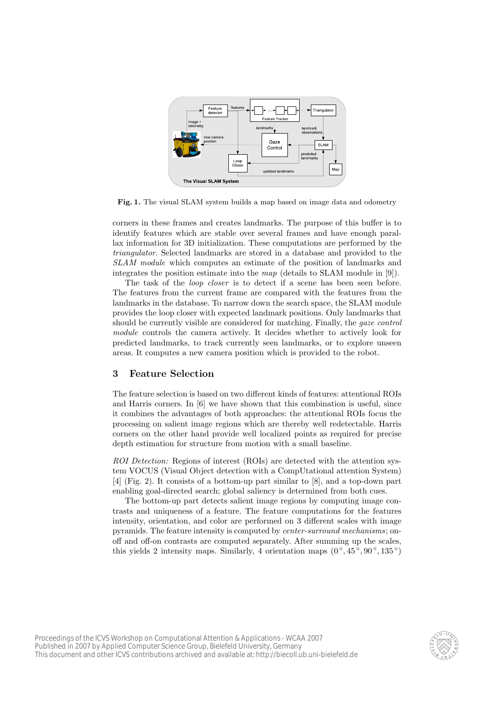

Fig. 1. The visual SLAM system builds a map based on image data and odometry

corners in these frames and creates landmarks. The purpose of this buffer is to identify features which are stable over several frames and have enough parallax information for 3D initialization. These computations are performed by the triangulator. Selected landmarks are stored in a database and provided to the SLAM module which computes an estimate of the position of landmarks and integrates the position estimate into the map (details to SLAM module in [9]).

The task of the *loop closer* is to detect if a scene has been seen before. The features from the current frame are compared with the features from the landmarks in the database. To narrow down the search space, the SLAM module provides the loop closer with expected landmark positions. Only landmarks that should be currently visible are considered for matching. Finally, the gaze control module controls the camera actively. It decides whether to actively look for predicted landmarks, to track currently seen landmarks, or to explore unseen areas. It computes a new camera position which is provided to the robot.

### 3 Feature Selection

The feature selection is based on two different kinds of features: attentional ROIs and Harris corners. In [6] we have shown that this combination is useful, since it combines the advantages of both approaches: the attentional ROIs focus the processing on salient image regions which are thereby well redetectable. Harris corners on the other hand provide well localized points as required for precise depth estimation for structure from motion with a small baseline.

ROI Detection: Regions of interest (ROIs) are detected with the attention system VOCUS (Visual Object detection with a CompUtational attention System) [4] (Fig. 2). It consists of a bottom-up part similar to [8], and a top-down part enabling goal-directed search; global saliency is determined from both cues.

The bottom-up part detects salient image regions by computing image contrasts and uniqueness of a feature. The feature computations for the features intensity, orientation, and color are performed on 3 different scales with image pyramids. The feature intensity is computed by center-surround mechanisms; onoff and off-on contrasts are computed separately. After summing up the scales, this yields 2 intensity maps. Similarly, 4 orientation maps  $(0^{\circ}, 45^{\circ}, 90^{\circ}, 135^{\circ})$ 

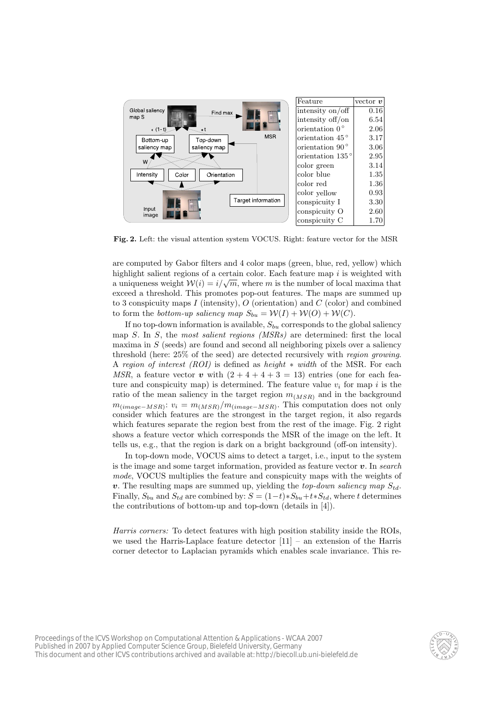

Fig. 2. Left: the visual attention system VOCUS. Right: feature vector for the MSR

are computed by Gabor filters and 4 color maps (green, blue, red, yellow) which highlight salient regions of a certain color. Each feature map  $i$  is weighted with mginight sanent regions or a certain color. Each reature map t is weighted with<br>a uniqueness weight  $W(i) = i/\sqrt{m}$ , where m is the number of local maxima that exceed a threshold. This promotes pop-out features. The maps are summed up to 3 conspicuity maps I (intensity),  $O$  (orientation) and  $C$  (color) and combined to form the bottom-up saliency map  $S_{bu} = \mathcal{W}(I) + \mathcal{W}(O) + \mathcal{W}(C)$ .

If no top-down information is available,  $S_{bu}$  corresponds to the global saliency map S. In S, the most salient regions  $(MSRs)$  are determined: first the local maxima in  $S$  (seeds) are found and second all neighboring pixels over a saliency threshold (here: 25% of the seed) are detected recursively with region growing. A region of interest (ROI) is defined as height ∗ width of the MSR. For each MSR, a feature vector v with  $(2+4+4+3=13)$  entries (one for each feature and conspicuity map) is determined. The feature value  $v_i$  for map i is the ratio of the mean saliency in the target region  $m_{(MSR)}$  and in the background  $m_{(image-MSR)}$ :  $v_i = m_{(MSR)}/m_{(image-MSR)}$ . This computation does not only consider which features are the strongest in the target region, it also regards which features separate the region best from the rest of the image. Fig. 2 right shows a feature vector which corresponds the MSR of the image on the left. It tells us, e.g., that the region is dark on a bright background (off-on intensity).

In top-down mode, VOCUS aims to detect a target, i.e., input to the system is the image and some target information, provided as feature vector  $v$ . In search mode, VOCUS multiplies the feature and conspicuity maps with the weights of v. The resulting maps are summed up, yielding the *top-down saliency map*  $S_{td}$ . Finally,  $S_{bu}$  and  $S_{td}$  are combined by:  $S = (1-t)*S_{bu} + t*S_{td}$ , where t determines the contributions of bottom-up and top-down (details in [4]).

Harris corners: To detect features with high position stability inside the ROIs, we used the Harris-Laplace feature detector  $[11]$  – an extension of the Harris corner detector to Laplacian pyramids which enables scale invariance. This re-

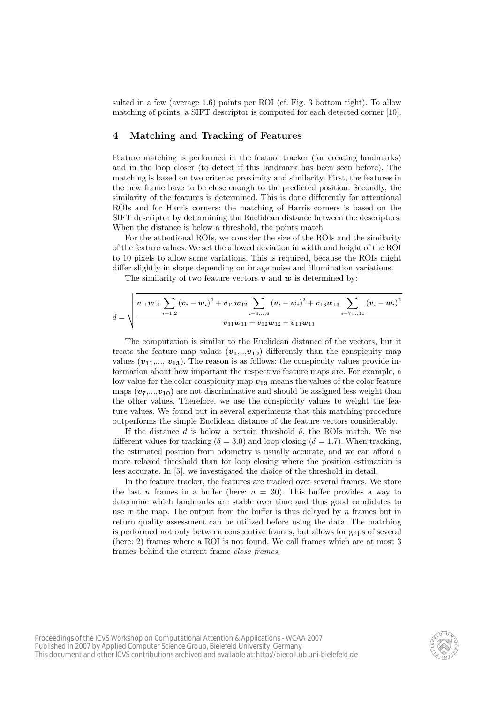sulted in a few (average 1.6) points per ROI (cf. Fig. 3 bottom right). To allow matching of points, a SIFT descriptor is computed for each detected corner [10].

### 4 Matching and Tracking of Features

Feature matching is performed in the feature tracker (for creating landmarks) and in the loop closer (to detect if this landmark has been seen before). The matching is based on two criteria: proximity and similarity. First, the features in the new frame have to be close enough to the predicted position. Secondly, the similarity of the features is determined. This is done differently for attentional ROIs and for Harris corners: the matching of Harris corners is based on the SIFT descriptor by determining the Euclidean distance between the descriptors. When the distance is below a threshold, the points match.

For the attentional ROIs, we consider the size of the ROIs and the similarity of the feature values. We set the allowed deviation in width and height of the ROI to 10 pixels to allow some variations. This is required, because the ROIs might differ slightly in shape depending on image noise and illumination variations.

The similarity of two feature vectors  $\boldsymbol{v}$  and  $\boldsymbol{w}$  is determined by:

$$
d = \sqrt{\frac{v_{11}w_{11}\sum_{i=1,2} (v_i - w_i)^2 + v_{12}w_{12}\sum_{i=3,..,6} (v_i - w_i)^2 + v_{13}w_{13}\sum_{i=7,..,10} (v_i - w_i)^2}{v_{11}w_{11} + v_{12}w_{12} + v_{13}w_{13}}}
$$

The computation is similar to the Euclidean distance of the vectors, but it treats the feature map values  $(v_1, \ldots, v_{10})$  differently than the conspicuity map values  $(v_{11},..., v_{13})$ . The reason is as follows: the conspicuity values provide information about how important the respective feature maps are. For example, a low value for the color conspicuity map  $v_{13}$  means the values of the color feature maps  $(v_7,...,v_{10})$  are not discriminative and should be assigned less weight than the other values. Therefore, we use the conspicuity values to weight the feature values. We found out in several experiments that this matching procedure outperforms the simple Euclidean distance of the feature vectors considerably.

If the distance d is below a certain threshold  $\delta$ , the ROIs match. We use different values for tracking ( $\delta = 3.0$ ) and loop closing ( $\delta = 1.7$ ). When tracking, the estimated position from odometry is usually accurate, and we can afford a more relaxed threshold than for loop closing where the position estimation is less accurate. In [5], we investigated the choice of the threshold in detail.

In the feature tracker, the features are tracked over several frames. We store the last n frames in a buffer (here:  $n = 30$ ). This buffer provides a way to determine which landmarks are stable over time and thus good candidates to use in the map. The output from the buffer is thus delayed by  $n$  frames but in return quality assessment can be utilized before using the data. The matching is performed not only between consecutive frames, but allows for gaps of several (here: 2) frames where a ROI is not found. We call frames which are at most 3 frames behind the current frame close frames.

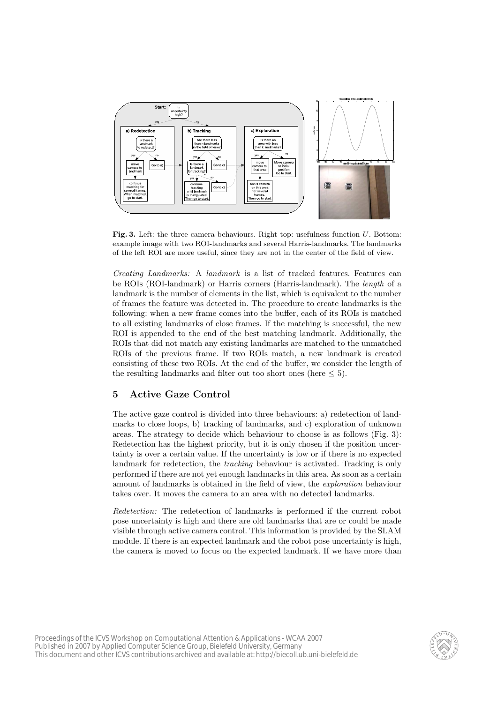

Fig. 3. Left: the three camera behaviours. Right top: usefulness function U. Bottom: example image with two ROI-landmarks and several Harris-landmarks. The landmarks of the left ROI are more useful, since they are not in the center of the field of view.

Creating Landmarks: A landmark is a list of tracked features. Features can be ROIs (ROI-landmark) or Harris corners (Harris-landmark). The length of a landmark is the number of elements in the list, which is equivalent to the number of frames the feature was detected in. The procedure to create landmarks is the following: when a new frame comes into the buffer, each of its ROIs is matched to all existing landmarks of close frames. If the matching is successful, the new ROI is appended to the end of the best matching landmark. Additionally, the ROIs that did not match any existing landmarks are matched to the unmatched ROIs of the previous frame. If two ROIs match, a new landmark is created consisting of these two ROIs. At the end of the buffer, we consider the length of the resulting landmarks and filter out too short ones (here  $\leq 5$ ).

## 5 Active Gaze Control

The active gaze control is divided into three behaviours: a) redetection of landmarks to close loops, b) tracking of landmarks, and c) exploration of unknown areas. The strategy to decide which behaviour to choose is as follows (Fig. 3): Redetection has the highest priority, but it is only chosen if the position uncertainty is over a certain value. If the uncertainty is low or if there is no expected landmark for redetection, the tracking behaviour is activated. Tracking is only performed if there are not yet enough landmarks in this area. As soon as a certain amount of landmarks is obtained in the field of view, the exploration behaviour takes over. It moves the camera to an area with no detected landmarks.

Redetection: The redetection of landmarks is performed if the current robot pose uncertainty is high and there are old landmarks that are or could be made visible through active camera control. This information is provided by the SLAM module. If there is an expected landmark and the robot pose uncertainty is high, the camera is moved to focus on the expected landmark. If we have more than

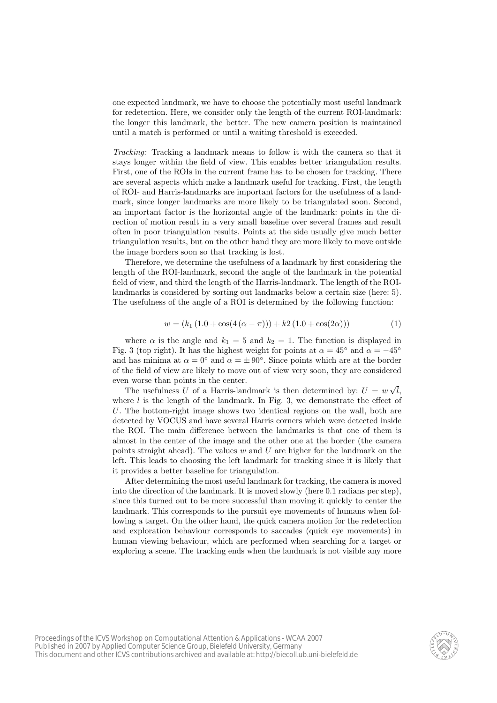one expected landmark, we have to choose the potentially most useful landmark for redetection. Here, we consider only the length of the current ROI-landmark: the longer this landmark, the better. The new camera position is maintained until a match is performed or until a waiting threshold is exceeded.

Tracking: Tracking a landmark means to follow it with the camera so that it stays longer within the field of view. This enables better triangulation results. First, one of the ROIs in the current frame has to be chosen for tracking. There are several aspects which make a landmark useful for tracking. First, the length of ROI- and Harris-landmarks are important factors for the usefulness of a landmark, since longer landmarks are more likely to be triangulated soon. Second, an important factor is the horizontal angle of the landmark: points in the direction of motion result in a very small baseline over several frames and result often in poor triangulation results. Points at the side usually give much better triangulation results, but on the other hand they are more likely to move outside the image borders soon so that tracking is lost.

Therefore, we determine the usefulness of a landmark by first considering the length of the ROI-landmark, second the angle of the landmark in the potential field of view, and third the length of the Harris-landmark. The length of the ROIlandmarks is considered by sorting out landmarks below a certain size (here: 5). The usefulness of the angle of a ROI is determined by the following function:

$$
w = (k_1 (1.0 + \cos(4(\alpha - \pi))) + k2 (1.0 + \cos(2\alpha)))
$$
 (1)

where  $\alpha$  is the angle and  $k_1 = 5$  and  $k_2 = 1$ . The function is displayed in Fig. 3 (top right). It has the highest weight for points at  $\alpha = 45^\circ$  and  $\alpha = -45^\circ$ and has minima at  $\alpha = 0^{\circ}$  and  $\alpha = \pm 90^{\circ}$ . Since points which are at the border of the field of view are likely to move out of view very soon, they are considered even worse than points in the center. √

The usefulness U of a Harris-landmark is then determined by:  $U = w$ l, where  $l$  is the length of the landmark. In Fig. 3, we demonstrate the effect of U. The bottom-right image shows two identical regions on the wall, both are detected by VOCUS and have several Harris corners which were detected inside the ROI. The main difference between the landmarks is that one of them is almost in the center of the image and the other one at the border (the camera points straight ahead). The values  $w$  and  $U$  are higher for the landmark on the left. This leads to choosing the left landmark for tracking since it is likely that it provides a better baseline for triangulation.

After determining the most useful landmark for tracking, the camera is moved into the direction of the landmark. It is moved slowly (here 0.1 radians per step), since this turned out to be more successful than moving it quickly to center the landmark. This corresponds to the pursuit eye movements of humans when following a target. On the other hand, the quick camera motion for the redetection and exploration behaviour corresponds to saccades (quick eye movements) in human viewing behaviour, which are performed when searching for a target or exploring a scene. The tracking ends when the landmark is not visible any more

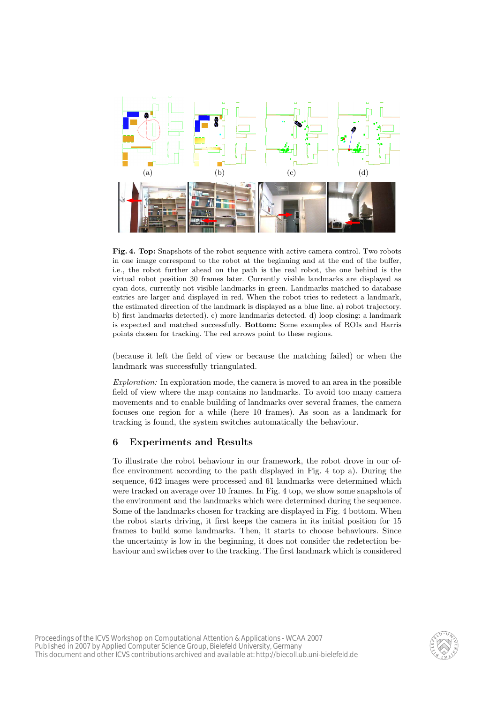

Fig. 4. Top: Snapshots of the robot sequence with active camera control. Two robots in one image correspond to the robot at the beginning and at the end of the buffer, i.e., the robot further ahead on the path is the real robot, the one behind is the virtual robot position 30 frames later. Currently visible landmarks are displayed as cyan dots, currently not visible landmarks in green. Landmarks matched to database entries are larger and displayed in red. When the robot tries to redetect a landmark, the estimated direction of the landmark is displayed as a blue line. a) robot trajectory. b) first landmarks detected). c) more landmarks detected. d) loop closing: a landmark is expected and matched successfully. Bottom: Some examples of ROIs and Harris points chosen for tracking. The red arrows point to these regions.

(because it left the field of view or because the matching failed) or when the landmark was successfully triangulated.

Exploration: In exploration mode, the camera is moved to an area in the possible field of view where the map contains no landmarks. To avoid too many camera movements and to enable building of landmarks over several frames, the camera focuses one region for a while (here 10 frames). As soon as a landmark for tracking is found, the system switches automatically the behaviour.

## 6 Experiments and Results

To illustrate the robot behaviour in our framework, the robot drove in our office environment according to the path displayed in Fig. 4 top a). During the sequence, 642 images were processed and 61 landmarks were determined which were tracked on average over 10 frames. In Fig. 4 top, we show some snapshots of the environment and the landmarks which were determined during the sequence. Some of the landmarks chosen for tracking are displayed in Fig. 4 bottom. When the robot starts driving, it first keeps the camera in its initial position for 15 frames to build some landmarks. Then, it starts to choose behaviours. Since the uncertainty is low in the beginning, it does not consider the redetection behaviour and switches over to the tracking. The first landmark which is considered

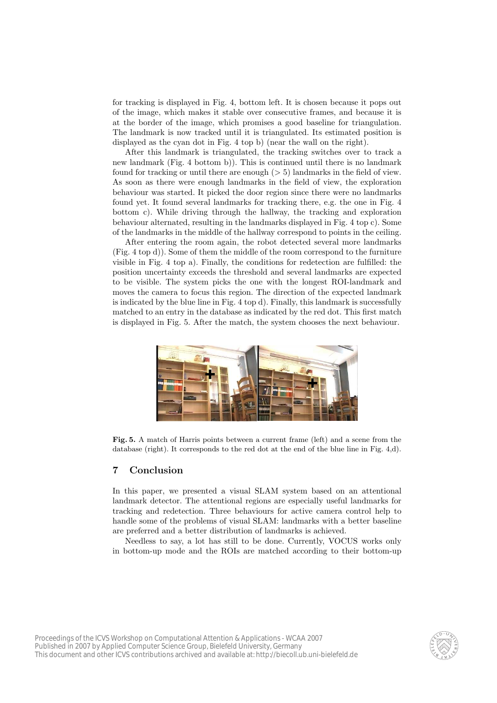for tracking is displayed in Fig. 4, bottom left. It is chosen because it pops out of the image, which makes it stable over consecutive frames, and because it is at the border of the image, which promises a good baseline for triangulation. The landmark is now tracked until it is triangulated. Its estimated position is displayed as the cyan dot in Fig. 4 top b) (near the wall on the right).

After this landmark is triangulated, the tracking switches over to track a new landmark (Fig. 4 bottom b)). This is continued until there is no landmark found for tracking or until there are enough  $(> 5)$  landmarks in the field of view. As soon as there were enough landmarks in the field of view, the exploration behaviour was started. It picked the door region since there were no landmarks found yet. It found several landmarks for tracking there, e.g. the one in Fig. 4 bottom c). While driving through the hallway, the tracking and exploration behaviour alternated, resulting in the landmarks displayed in Fig. 4 top c). Some of the landmarks in the middle of the hallway correspond to points in the ceiling.

After entering the room again, the robot detected several more landmarks (Fig. 4 top d)). Some of them the middle of the room correspond to the furniture visible in Fig. 4 top a). Finally, the conditions for redetection are fulfilled: the position uncertainty exceeds the threshold and several landmarks are expected to be visible. The system picks the one with the longest ROI-landmark and moves the camera to focus this region. The direction of the expected landmark is indicated by the blue line in Fig. 4 top d). Finally, this landmark is successfully matched to an entry in the database as indicated by the red dot. This first match is displayed in Fig. 5. After the match, the system chooses the next behaviour.



Fig. 5. A match of Harris points between a current frame (left) and a scene from the database (right). It corresponds to the red dot at the end of the blue line in Fig. 4,d).

## 7 Conclusion

In this paper, we presented a visual SLAM system based on an attentional landmark detector. The attentional regions are especially useful landmarks for tracking and redetection. Three behaviours for active camera control help to handle some of the problems of visual SLAM: landmarks with a better baseline are preferred and a better distribution of landmarks is achieved.

Needless to say, a lot has still to be done. Currently, VOCUS works only in bottom-up mode and the ROIs are matched according to their bottom-up